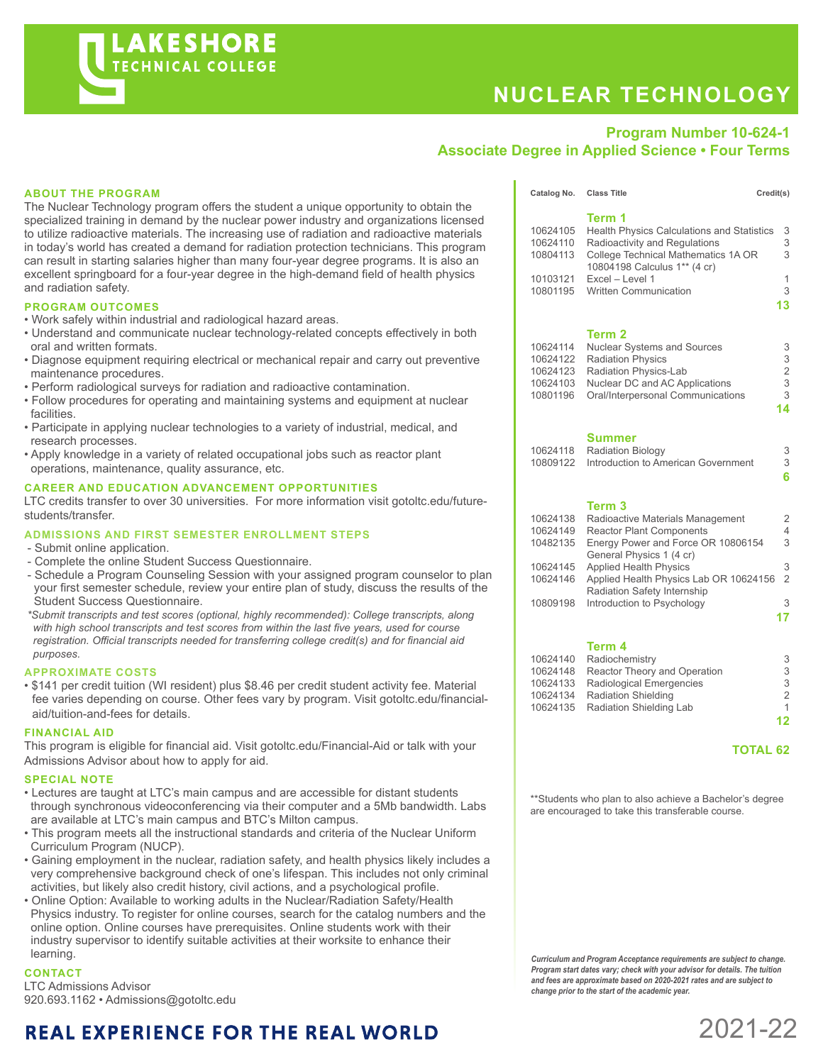# **NUCLEAR TECHNOLOGY**

Catalog No. Class Title Credit(s)

# **Program Number 10-624-1 Associate Degree in Applied Science • Four Terms**

#### **ABOUT THE PROGRAM**

The Nuclear Technology program offers the student a unique opportunity to obtain the specialized training in demand by the nuclear power industry and organizations licensed to utilize radioactive materials. The increasing use of radiation and radioactive materials in today's world has created a demand for radiation protection technicians. This program can result in starting salaries higher than many four-year degree programs. It is also an excellent springboard for a four-year degree in the high-demand field of health physics and radiation safety.

#### **PROGRAM OUTCOMES**

- Work safely within industrial and radiological hazard areas.
- Understand and communicate nuclear technology-related concepts effectively in both oral and written formats.
- Diagnose equipment requiring electrical or mechanical repair and carry out preventive maintenance procedures.
- Perform radiological surveys for radiation and radioactive contamination.
- Follow procedures for operating and maintaining systems and equipment at nuclear facilities.
- Participate in applying nuclear technologies to a variety of industrial, medical, and research processes.
- Apply knowledge in a variety of related occupational jobs such as reactor plant operations, maintenance, quality assurance, etc.

#### **CAREER AND EDUCATION ADVANCEMENT OPPORTUNITIES**

LTC credits transfer to over 30 universities. For more information visit gotoltc.edu/futurestudents/transfer.

#### **ADMISSIONS AND FIRST SEMESTER ENROLLMENT STEPS**

- Submit online application.
- Complete the online Student Success Questionnaire.
- Schedule a Program Counseling Session with your assigned program counselor to plan your first semester schedule, review your entire plan of study, discuss the results of the Student Success Questionnaire.

 *\*Submit transcripts and test scores (optional, highly recommended): College transcripts, along with high school transcripts and test scores from within the last five years, used for course registration. Official transcripts needed for transferring college credit(s) and for financial aid purposes.*

#### **APPROXIMATE COSTS**

• \$141 per credit tuition (WI resident) plus \$8.46 per credit student activity fee. Material fee varies depending on course. Other fees vary by program. Visit gotoltc.edu/financialaid/tuition-and-fees for details.

#### **FINANCIAL AID**

This program is eligible for financial aid. Visit gotoltc.edu/Financial-Aid or talk with your Admissions Advisor about how to apply for aid.

#### **SPECIAL NOTE**

- Lectures are taught at LTC's main campus and are accessible for distant students through synchronous videoconferencing via their computer and a 5Mb bandwidth. Labs are available at LTC's main campus and BTC's Milton campus.
- This program meets all the instructional standards and criteria of the Nuclear Uniform Curriculum Program (NUCP).
- Gaining employment in the nuclear, radiation safety, and health physics likely includes a very comprehensive background check of one's lifespan. This includes not only criminal activities, but likely also credit history, civil actions, and a psychological profile.
- Online Option: Available to working adults in the Nuclear/Radiation Safety/Health Physics industry. To register for online courses, search for the catalog numbers and the online option. Online courses have prerequisites. Online students work with their industry supervisor to identify suitable activities at their worksite to enhance their learning.

### **CONTACT**

LTC Admissions Advisor 920.693.1162 • Admissions@gotoltc.edu

# **REAL EXPERIENCE FOR THE REAL WORLD**

|          | Term 1                                     |                |
|----------|--------------------------------------------|----------------|
| 10624105 | Health Physics Calculations and Statistics | 3              |
| 10624110 | Radioactivity and Regulations              | 3              |
| 10804113 | College Technical Mathematics 1A OR        | 3              |
|          | 10804198 Calculus 1** (4 cr)               |                |
| 10103121 | $Fixed -$ l evel 1                         | 1              |
| 10801195 | <b>Written Communication</b>               | 3              |
|          |                                            | 13             |
|          |                                            |                |
|          | Term 2                                     |                |
| 10624114 | <b>Nuclear Systems and Sources</b>         | 3              |
| 10624122 | <b>Radiation Physics</b>                   | 3              |
| 10624123 | Radiation Physics-Lab                      | $\overline{2}$ |
| 10624103 | Nuclear DC and AC Applications             | 3              |
| 10801196 | Oral/Interpersonal Communications          | 3              |
|          |                                            | 14             |
|          |                                            |                |
|          | Summer                                     |                |
| 10624118 | <b>Radiation Biology</b>                   | 3              |
| 10809122 | Introduction to American Government        | 3              |
|          |                                            |                |

#### **Term 3**

| 10624138 | Radioactive Materials Management       | 2              |
|----------|----------------------------------------|----------------|
| 10624149 | <b>Reactor Plant Components</b>        | 4              |
| 10482135 | Energy Power and Force OR 10806154     | 3              |
|          | General Physics 1 (4 cr)               |                |
| 10624145 | <b>Applied Health Physics</b>          | 3              |
| 10624146 | Applied Health Physics Lab OR 10624156 | $\mathfrak{D}$ |
|          | Radiation Safety Internship            |                |
| 10809198 | Introduction to Psychology             | 3              |
|          |                                        |                |
|          |                                        |                |

**6**

#### **Term 4**

| 10624140 Radiochemistry               | 3  |
|---------------------------------------|----|
| 10624148 Reactor Theory and Operation | 3  |
| 10624133 Radiological Emergencies     | 3  |
| 10624134 Radiation Shielding          | 2  |
| 10624135 Radiation Shielding Lab      | 1  |
|                                       | 12 |

## **TOTAL 62**

\*\*Students who plan to also achieve a Bachelor's degree are encouraged to take this transferable course.

*Curriculum and Program Acceptance requirements are subject to change. Program start dates vary; check with your advisor for details. The tuition and fees are approximate based on 2020-2021 rates and are subject to change prior to the start of the academic year.*